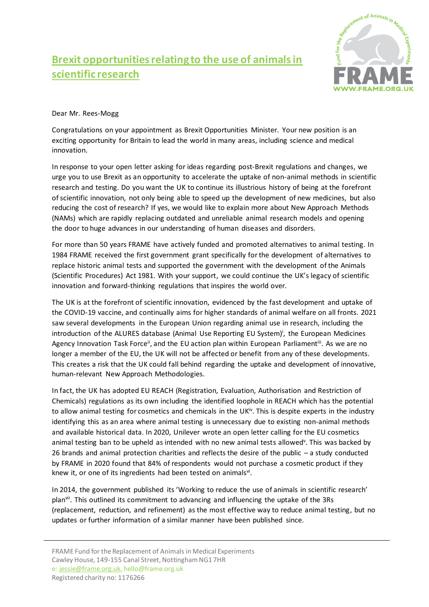## **Brexit opportunities relating to the use of animals in scientific research**



## Dear Mr. Rees-Mogg

Congratulations on your appointment as Brexit Opportunities Minister. Your new position is an exciting opportunity for Britain to lead the world in many areas, including science and medical innovation.

In response to your open letter asking for ideas regarding post-Brexit regulations and changes, we urge you to use Brexit as an opportunity to accelerate the uptake of non-animal methods in scientific research and testing. Do you want the UK to continue its illustrious history of being at the forefront of scientific innovation, not only being able to speed up the development of new medicines, but also reducing the cost of research? If yes, we would like to explain more about New Approach Methods (NAMs) which are rapidly replacing outdated and unreliable animal research models and opening the door to huge advances in our understanding of human diseases and disorders.

For more than 50 years FRAME have actively funded and promoted alternatives to animal testing. In 1984 FRAME received the first government grant specifically for the development of alternatives to replace historic animal tests and supported the government with the development of the Animals (Scientific Procedures) Act 1981. With your support, we could continue the UK's legacy of scientific innovation and forward-thinking regulations that inspires the world over.

The UK is at the forefront of scientific innovation, evidenced by the fast development and uptake of the COVID-19 vaccine, and continually aims for higher standards of animal welfare on all fronts. 2021 saw several developments in the European Union regarding animal use in research, including the introduction of the ALURES database (Animal Use Reporting EU System)<sup>i</sup>, the European Medicines Agency Innovation Task Force<sup>ii</sup>, and the EU action plan within European Parliament<sup>iii</sup>. As we are no longer a member of the EU, the UK will not be affected or benefit from any of these developments. This creates a risk that the UK could fall behind regarding the uptake and development of innovative, human-relevant New Approach Methodologies.

In fact, the UK has adopted EU REACH (Registration, Evaluation, Authorisation and Restriction of Chemicals) regulations as its own including the identified loophole in REACH which has the potential to allow animal testing for cosmetics and chemicals in the UK<sup>iv</sup>. This is despite experts in the industry identifying this as an area where animal testing is unnecessary due to existing non-animal methods and available historical data. In 2020, Unilever wrote an open letter calling for the EU cosmetics animal testing ban to be upheld as intended with no new animal tests allowed<sup>v</sup>. This was backed by 26 brands and animal protection charities and reflects the desire of the public – a study conducted by FRAME in 2020 found that 84% of respondents would not purchase a cosmetic product if they knew it, or one of its ingredients had been tested on animals<sup>vi</sup>.

In 2014, the government published its 'Working to reduce the use of animals in scientific research' planvii. This outlined its commitment to advancing and influencing the uptake of the 3Rs (replacement, reduction, and refinement) as the most effective way to reduce animal testing, but no updates or further information of a similar manner have been published since.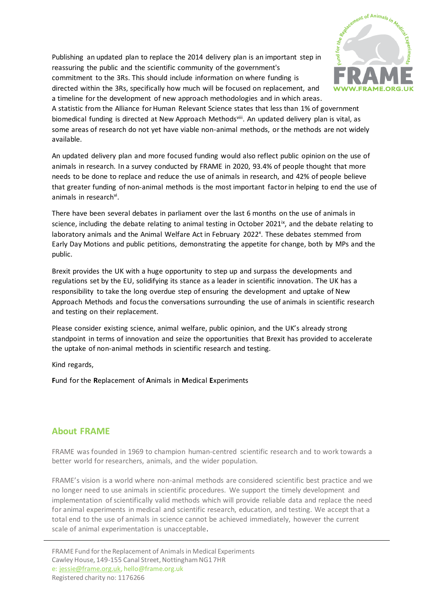Publishing an updated plan to replace the 2014 delivery plan is an important step in reassuring the public and the scientific community of the government's commitment to the 3Rs. This should include information on where funding is directed within the 3Rs, specifically how much will be focused on replacement, and a timeline for the development of new approach methodologies and in which areas.



A statistic from the Alliance for Human Relevant Science states that less than 1% of government biomedical funding is directed at New Approach Methods<sup>viii</sup>. An updated delivery plan is vital, as some areas of research do not yet have viable non-animal methods, or the methods are not widely available.

An updated delivery plan and more focused funding would also reflect public opinion on the use of animals in research. In a survey conducted by FRAME in 2020, 93.4% of people thought that more needs to be done to replace and reduce the use of animals in research, and 42% of people believe that greater funding of non-animal methods is the most important factor in helping to end the use of animals in research<sup>vi</sup>.

There have been several debates in parliament over the last 6 months on the use of animals in science, including the debate relating to animal testing in October 2021 $^{\mathrm{ix}}$ , and the debate relating to laboratory animals and the Animal Welfare Act in February 2022<sup>x</sup>. These debates stemmed from Early Day Motions and public petitions, demonstrating the appetite for change, both by MPs and the public.

Brexit provides the UK with a huge opportunity to step up and surpass the developments and regulations set by the EU, solidifying its stance as a leader in scientific innovation. The UK has a responsibility to take the long overdue step of ensuring the development and uptake of New Approach Methods and focus the conversations surrounding the use of animals in scientific research and testing on their replacement.

Please consider existing science, animal welfare, public opinion, and the UK's already strong standpoint in terms of innovation and seize the opportunities that Brexit has provided to accelerate the uptake of non-animal methods in scientific research and testing.

Kind regards,

**F**und for the **R**eplacement of **A**nimals in **M**edical **E**xperiments

## **About FRAME**

FRAME was founded in 1969 to champion human-centred scientific research and to work towards a better world for researchers, animals, and the wider population.

FRAME's vision is a world where non-animal methods are considered scientific best practice and we no longer need to use animals in scientific procedures. We support the timely development and implementation of scientifically valid methods which will provide reliable data and replace the need for animal experiments in medical and scientific research, education, and testing. We accept that a total end to the use of animals in science cannot be achieved immediately, however the current scale of animal experimentation is unacceptable.